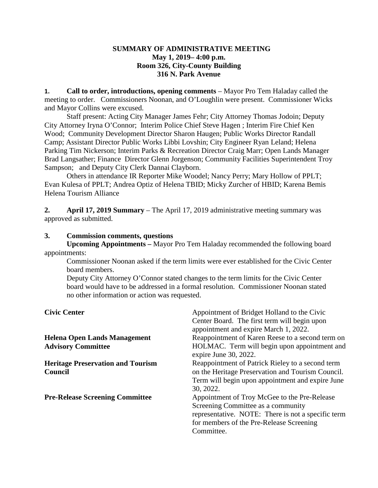### **SUMMARY OF ADMINISTRATIVE MEETING May 1, 2019– 4:00 p.m. Room 326, City-County Building 316 N. Park Avenue**

**1. Call to order, introductions, opening comments** – Mayor Pro Tem Haladay called the meeting to order. Commissioners Noonan, and O'Loughlin were present. Commissioner Wicks and Mayor Collins were excused.

Staff present: Acting City Manager James Fehr; City Attorney Thomas Jodoin; Deputy City Attorney Iryna O'Connor; Interim Police Chief Steve Hagen ; Interim Fire Chief Ken Wood; Community Development Director Sharon Haugen; Public Works Director Randall Camp; Assistant Director Public Works Libbi Lovshin; City Engineer Ryan Leland; Helena Parking Tim Nickerson; Interim Parks & Recreation Director Craig Marr; Open Lands Manager Brad Langsather; Finance Director Glenn Jorgenson; Community Facilities Superintendent Troy Sampson; and Deputy City Clerk Dannai Clayborn.

Others in attendance IR Reporter Mike Woodel; Nancy Perry; Mary Hollow of PPLT; Evan Kulesa of PPLT; Andrea Optiz of Helena TBID; Micky Zurcher of HBID; Karena Bemis Helena Tourism Alliance

**2. April 17, 2019 Summary** – The April 17, 2019 administrative meeting summary was approved as submitted.

## **3. Commission comments, questions**

**Upcoming Appointments –** Mayor Pro Tem Haladay recommended the following board appointments:

Commissioner Noonan asked if the term limits were ever established for the Civic Center board members.

Deputy City Attorney O'Connor stated changes to the term limits for the Civic Center board would have to be addressed in a formal resolution. Commissioner Noonan stated no other information or action was requested.

| <b>Civic Center</b>                      | Appointment of Bridget Holland to the Civic<br>Center Board. The first term will begin upon<br>appointment and expire March 1, 2022. |
|------------------------------------------|--------------------------------------------------------------------------------------------------------------------------------------|
| <b>Helena Open Lands Management</b>      | Reappointment of Karen Reese to a second term on                                                                                     |
| <b>Advisory Committee</b>                | HOLMAC. Term will begin upon appointment and<br>expire June 30, 2022.                                                                |
| <b>Heritage Preservation and Tourism</b> | Reappointment of Patrick Rieley to a second term                                                                                     |
| Council                                  | on the Heritage Preservation and Tourism Council.                                                                                    |
|                                          | Term will begin upon appointment and expire June<br>30, 2022.                                                                        |
| <b>Pre-Release Screening Committee</b>   | Appointment of Troy McGee to the Pre-Release                                                                                         |
|                                          | Screening Committee as a community                                                                                                   |
|                                          | representative. NOTE: There is not a specific term                                                                                   |
|                                          | for members of the Pre-Release Screening                                                                                             |
|                                          | Committee.                                                                                                                           |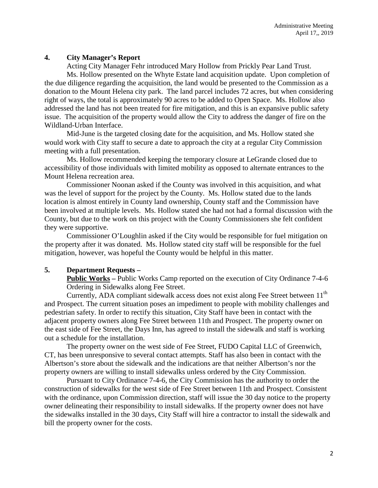# **4. City Manager's Report**

Acting City Manager Fehr introduced Mary Hollow from Prickly Pear Land Trust. Ms. Hollow presented on the Whyte Estate land acquisition update. Upon completion of the due diligence regarding the acquisition, the land would be presented to the Commission as a donation to the Mount Helena city park. The land parcel includes 72 acres, but when considering right of ways, the total is approximately 90 acres to be added to Open Space. Ms. Hollow also addressed the land has not been treated for fire mitigation, and this is an expansive public safety issue. The acquisition of the property would allow the City to address the danger of fire on the Wildland-Urban Interface.

Mid-June is the targeted closing date for the acquisition, and Ms. Hollow stated she would work with City staff to secure a date to approach the city at a regular City Commission meeting with a full presentation.

Ms. Hollow recommended keeping the temporary closure at LeGrande closed due to accessibility of those individuals with limited mobility as opposed to alternate entrances to the Mount Helena recreation area.

Commissioner Noonan asked if the County was involved in this acquisition, and what was the level of support for the project by the County. Ms. Hollow stated due to the lands location is almost entirely in County land ownership, County staff and the Commission have been involved at multiple levels. Ms. Hollow stated she had not had a formal discussion with the County, but due to the work on this project with the County Commissioners she felt confident they were supportive.

Commissioner O'Loughlin asked if the City would be responsible for fuel mitigation on the property after it was donated. Ms. Hollow stated city staff will be responsible for the fuel mitigation, however, was hopeful the County would be helpful in this matter.

## **5. Department Requests –**

**Public Works –** Public Works Camp reported on the execution of City Ordinance 7-4-6 Ordering in Sidewalks along Fee Street.

Currently, ADA compliant sidewalk access does not exist along Fee Street between  $11<sup>th</sup>$ and Prospect. The current situation poses an impediment to people with mobility challenges and pedestrian safety. In order to rectify this situation, City Staff have been in contact with the adjacent property owners along Fee Street between 11th and Prospect. The property owner on the east side of Fee Street, the Days Inn, has agreed to install the sidewalk and staff is working out a schedule for the installation.

The property owner on the west side of Fee Street, FUDO Capital LLC of Greenwich, CT, has been unresponsive to several contact attempts. Staff has also been in contact with the Albertson's store about the sidewalk and the indications are that neither Albertson's nor the property owners are willing to install sidewalks unless ordered by the City Commission.

Pursuant to City Ordinance 7-4-6, the City Commission has the authority to order the construction of sidewalks for the west side of Fee Street between 11th and Prospect. Consistent with the ordinance, upon Commission direction, staff will issue the 30 day notice to the property owner delineating their responsibility to install sidewalks. If the property owner does not have the sidewalks installed in the 30 days, City Staff will hire a contractor to install the sidewalk and bill the property owner for the costs.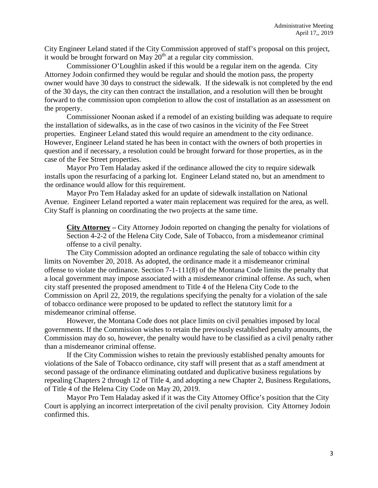City Engineer Leland stated if the City Commission approved of staff's proposal on this project, it would be brought forward on May  $20<sup>th</sup>$  at a regular city commission.

Commissioner O'Loughlin asked if this would be a regular item on the agenda. City Attorney Jodoin confirmed they would be regular and should the motion pass, the property owner would have 30 days to construct the sidewalk. If the sidewalk is not completed by the end of the 30 days, the city can then contract the installation, and a resolution will then be brought forward to the commission upon completion to allow the cost of installation as an assessment on the property.

Commissioner Noonan asked if a remodel of an existing building was adequate to require the installation of sidewalks, as in the case of two casinos in the vicinity of the Fee Street properties. Engineer Leland stated this would require an amendment to the city ordinance. However, Engineer Leland stated he has been in contact with the owners of both properties in question and if necessary, a resolution could be brought forward for those properties, as in the case of the Fee Street properties.

Mayor Pro Tem Haladay asked if the ordinance allowed the city to require sidewalk installs upon the resurfacing of a parking lot. Engineer Leland stated no, but an amendment to the ordinance would allow for this requirement.

Mayor Pro Tem Haladay asked for an update of sidewalk installation on National Avenue. Engineer Leland reported a water main replacement was required for the area, as well. City Staff is planning on coordinating the two projects at the same time.

**City Attorney –** City Attorney Jodoin reported on changing the penalty for violations of Section 4-2-2 of the Helena City Code, Sale of Tobacco, from a misdemeanor criminal offense to a civil penalty.

The City Commission adopted an ordinance regulating the sale of tobacco within city limits on November 20, 2018. As adopted, the ordinance made it a misdemeanor criminal offense to violate the ordinance. Section 7-1-111(8) of the Montana Code limits the penalty that a local government may impose associated with a misdemeanor criminal offense. As such, when city staff presented the proposed amendment to Title 4 of the Helena City Code to the Commission on April 22, 2019, the regulations specifying the penalty for a violation of the sale of tobacco ordinance were proposed to be updated to reflect the statutory limit for a misdemeanor criminal offense.

However, the Montana Code does not place limits on civil penalties imposed by local governments. If the Commission wishes to retain the previously established penalty amounts, the Commission may do so, however, the penalty would have to be classified as a civil penalty rather than a misdemeanor criminal offense.

If the City Commission wishes to retain the previously established penalty amounts for violations of the Sale of Tobacco ordinance, city staff will present that as a staff amendment at second passage of the ordinance eliminating outdated and duplicative business regulations by repealing Chapters 2 through 12 of Title 4, and adopting a new Chapter 2, Business Regulations, of Title 4 of the Helena City Code on May 20, 2019.

Mayor Pro Tem Haladay asked if it was the City Attorney Office's position that the City Court is applying an incorrect interpretation of the civil penalty provision. City Attorney Jodoin confirmed this.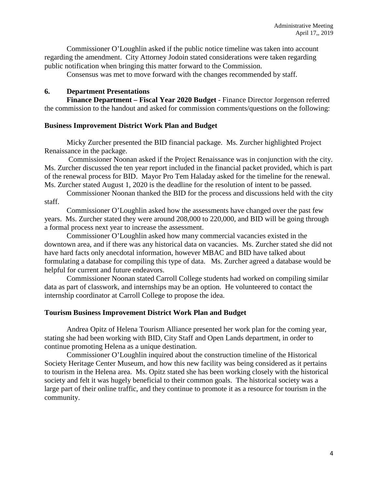Commissioner O'Loughlin asked if the public notice timeline was taken into account regarding the amendment. City Attorney Jodoin stated considerations were taken regarding public notification when bringing this matter forward to the Commission.

Consensus was met to move forward with the changes recommended by staff.

# **6. Department Presentations**

**Finance Department – Fiscal Year 2020 Budget** - Finance Director Jorgenson referred the commission to the handout and asked for commission comments/questions on the following:

## **Business Improvement District Work Plan and Budget**

Micky Zurcher presented the BID financial package. Ms. Zurcher highlighted Project Renaissance in the package.

Commissioner Noonan asked if the Project Renaissance was in conjunction with the city. Ms. Zurcher discussed the ten year report included in the financial packet provided, which is part of the renewal process for BID. Mayor Pro Tem Haladay asked for the timeline for the renewal. Ms. Zurcher stated August 1, 2020 is the deadline for the resolution of intent to be passed.

Commissioner Noonan thanked the BID for the process and discussions held with the city staff.

Commissioner O'Loughlin asked how the assessments have changed over the past few years. Ms. Zurcher stated they were around 208,000 to 220,000, and BID will be going through a formal process next year to increase the assessment.

Commissioner O'Loughlin asked how many commercial vacancies existed in the downtown area, and if there was any historical data on vacancies. Ms. Zurcher stated she did not have hard facts only anecdotal information, however MBAC and BID have talked about formulating a database for compiling this type of data. Ms. Zurcher agreed a database would be helpful for current and future endeavors.

Commissioner Noonan stated Carroll College students had worked on compiling similar data as part of classwork, and internships may be an option. He volunteered to contact the internship coordinator at Carroll College to propose the idea.

## **Tourism Business Improvement District Work Plan and Budget**

Andrea Opitz of Helena Tourism Alliance presented her work plan for the coming year, stating she had been working with BID, City Staff and Open Lands department, in order to continue promoting Helena as a unique destination.

Commissioner O'Loughlin inquired about the construction timeline of the Historical Society Heritage Center Museum, and how this new facility was being considered as it pertains to tourism in the Helena area. Ms. Opitz stated she has been working closely with the historical society and felt it was hugely beneficial to their common goals. The historical society was a large part of their online traffic, and they continue to promote it as a resource for tourism in the community.